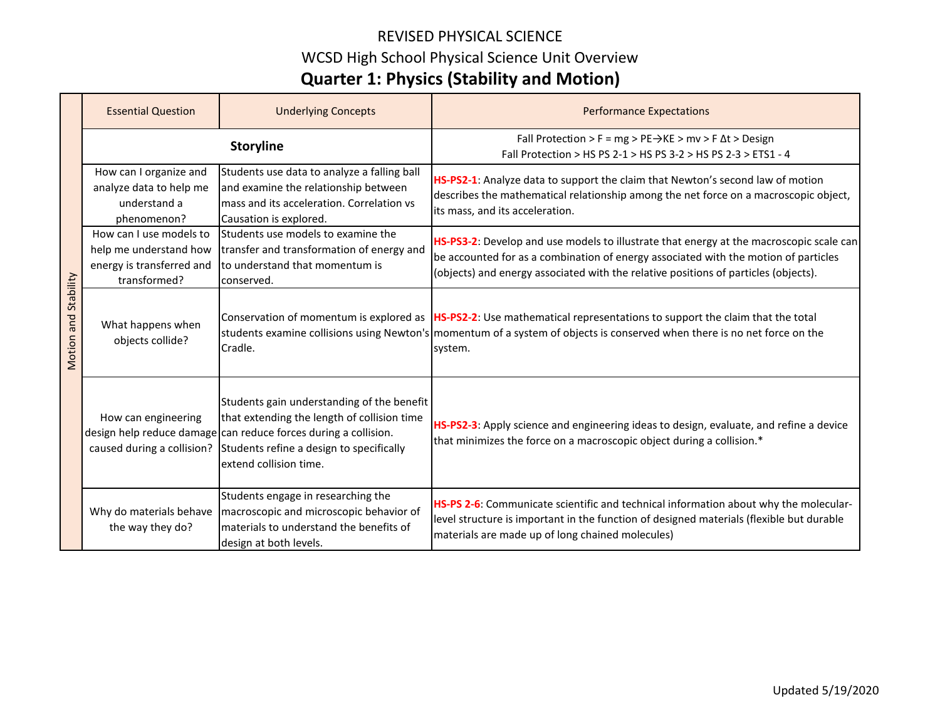### REVISED PHYSICAL SCIENCE WCSD High School Physical Science Unit Overview **Quarter 1: Physics (Stability and Motion)**

|                         | <b>Essential Question</b>                                                                      | <b>Underlying Concepts</b>                                                                                                                                                                                                         | <b>Performance Expectations</b>                                                                                                                                                                                                                                       |
|-------------------------|------------------------------------------------------------------------------------------------|------------------------------------------------------------------------------------------------------------------------------------------------------------------------------------------------------------------------------------|-----------------------------------------------------------------------------------------------------------------------------------------------------------------------------------------------------------------------------------------------------------------------|
|                         | <b>Storyline</b>                                                                               |                                                                                                                                                                                                                                    | Fall Protection > F = mg > PE $\rightarrow$ KE > mv > F $\Delta t$ > Design<br>Fall Protection > HS PS 2-1 > HS PS 3-2 > HS PS 2-3 > ETS1 - 4                                                                                                                         |
| and Stability<br>Motion | How can I organize and<br>analyze data to help me<br>understand a<br>phenomenon?               | Students use data to analyze a falling ball<br>and examine the relationship between<br>mass and its acceleration. Correlation vs<br>Causation is explored.                                                                         | HS-PS2-1: Analyze data to support the claim that Newton's second law of motion<br>describes the mathematical relationship among the net force on a macroscopic object,<br>its mass, and its acceleration.                                                             |
|                         | How can I use models to<br>help me understand how<br>energy is transferred and<br>transformed? | Students use models to examine the<br>transfer and transformation of energy and<br>to understand that momentum is<br>conserved.                                                                                                    | HS-PS3-2: Develop and use models to illustrate that energy at the macroscopic scale can<br>be accounted for as a combination of energy associated with the motion of particles<br>(objects) and energy associated with the relative positions of particles (objects). |
|                         | What happens when<br>objects collide?                                                          | Cradle.                                                                                                                                                                                                                            | Conservation of momentum is explored as  HS-PS2-2: Use mathematical representations to support the claim that the total<br>students examine collisions using Newton's momentum of a system of objects is conserved when there is no net force on the<br>system.       |
|                         | How can engineering<br>caused during a collision?                                              | Students gain understanding of the benefit<br>that extending the length of collision time<br>design help reduce damage can reduce forces during a collision.<br>Students refine a design to specifically<br>extend collision time. | HS-PS2-3: Apply science and engineering ideas to design, evaluate, and refine a device<br>that minimizes the force on a macroscopic object during a collision.*                                                                                                       |
|                         | Why do materials behave<br>the way they do?                                                    | Students engage in researching the<br>macroscopic and microscopic behavior of<br>materials to understand the benefits of<br>design at both levels.                                                                                 | HS-PS 2-6: Communicate scientific and technical information about why the molecular-<br>level structure is important in the function of designed materials (flexible but durable<br>materials are made up of long chained molecules)                                  |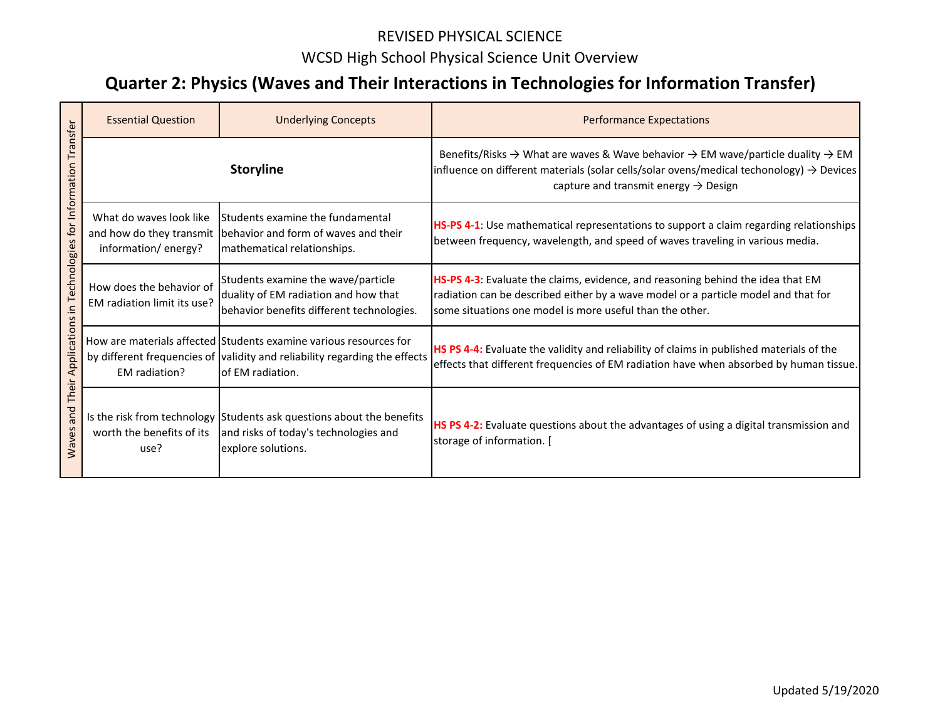### REVISED PHYSICAL SCIENCE WCSD High School Physical Science Unit Overview

## **Quarter 2: Physics (Waves and Their Interactions in Technologies for Information Transfer)**

| Transfer<br>for Information<br>Technologies<br>Ξ.<br>Applications<br>Their<br>and<br>Waves | <b>Essential Question</b>                                                  | <b>Underlying Concepts</b>                                                                                                                                          | <b>Performance Expectations</b>                                                                                                                                                                                                                                                 |
|--------------------------------------------------------------------------------------------|----------------------------------------------------------------------------|---------------------------------------------------------------------------------------------------------------------------------------------------------------------|---------------------------------------------------------------------------------------------------------------------------------------------------------------------------------------------------------------------------------------------------------------------------------|
|                                                                                            | <b>Storyline</b>                                                           |                                                                                                                                                                     | Benefits/Risks $\rightarrow$ What are waves & Wave behavior $\rightarrow$ EM wave/particle duality $\rightarrow$ EM<br>influence on different materials (solar cells/solar ovens/medical techonology) $\rightarrow$ Devices<br>capture and transmit energy $\rightarrow$ Design |
|                                                                                            | What do waves look like<br>and how do they transmit<br>information/energy? | Students examine the fundamental<br>behavior and form of waves and their<br>mathematical relationships.                                                             | HS-PS 4-1: Use mathematical representations to support a claim regarding relationships<br>between frequency, wavelength, and speed of waves traveling in various media.                                                                                                         |
|                                                                                            | How does the behavior of<br>EM radiation limit its use?                    | Students examine the wave/particle<br>duality of EM radiation and how that<br>behavior benefits different technologies.                                             | HS-PS 4-3: Evaluate the claims, evidence, and reasoning behind the idea that EM<br>radiation can be described either by a wave model or a particle model and that for<br>some situations one model is more useful than the other.                                               |
|                                                                                            | EM radiation?                                                              | How are materials affected Students examine various resources for<br>by different frequencies of validity and reliability regarding the effects<br>of EM radiation. | HS PS 4-4: Evaluate the validity and reliability of claims in published materials of the<br>effects that different frequencies of EM radiation have when absorbed by human tissue.                                                                                              |
|                                                                                            | worth the benefits of its<br>use?                                          | Is the risk from technology Students ask questions about the benefits<br>and risks of today's technologies and<br>explore solutions.                                | HS PS 4-2: Evaluate questions about the advantages of using a digital transmission and<br>storage of information. [                                                                                                                                                             |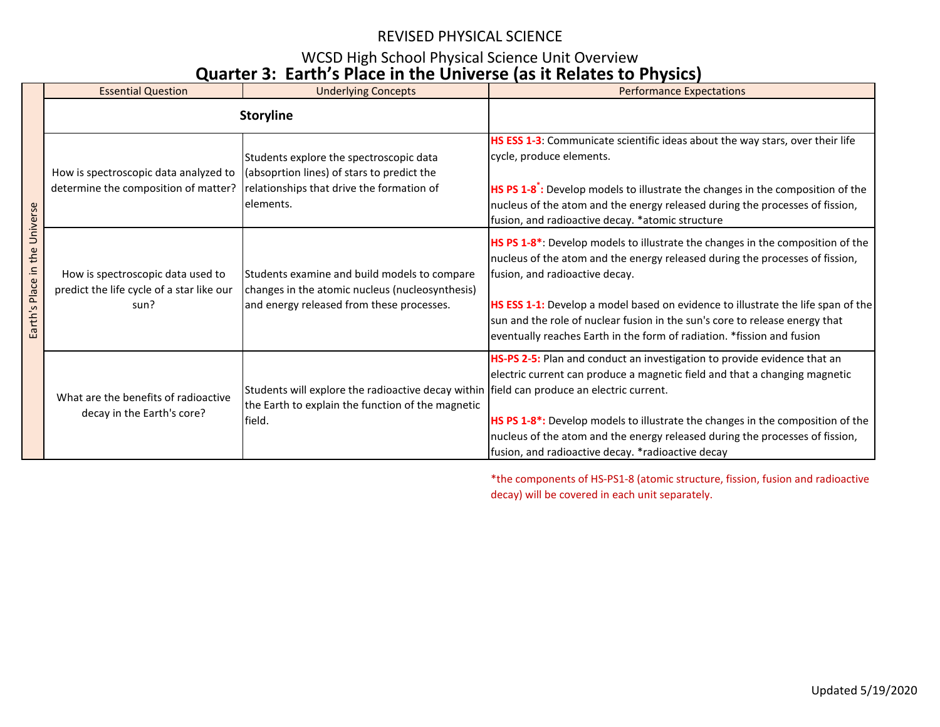#### REVISED PHYSICAL SCIENCE

#### WCSD High School Physical Science Unit Overview **Quarter 3: Earth's Place in the Universe (as it Relates to Physics)**

|                                     | <b>Essential Question</b>                                                              | <b>Underlying Concepts</b>                                                                                                                               | <b>Performance Expectations</b>                                                                                                                                                                                                                                                                                                                                                                                                                            |
|-------------------------------------|----------------------------------------------------------------------------------------|----------------------------------------------------------------------------------------------------------------------------------------------------------|------------------------------------------------------------------------------------------------------------------------------------------------------------------------------------------------------------------------------------------------------------------------------------------------------------------------------------------------------------------------------------------------------------------------------------------------------------|
|                                     |                                                                                        | <b>Storyline</b>                                                                                                                                         |                                                                                                                                                                                                                                                                                                                                                                                                                                                            |
| Universe<br>Place in the<br>Earth's | How is spectroscopic data analyzed to<br>determine the composition of matter?          | Students explore the spectroscopic data<br>(absoprtion lines) of stars to predict the<br>relationships that drive the formation of<br>elements.          | HS ESS 1-3: Communicate scientific ideas about the way stars, over their life<br>cycle, produce elements.<br><b>HS PS 1-8</b> : Develop models to illustrate the changes in the composition of the<br>nucleus of the atom and the energy released during the processes of fission,<br>fusion, and radioactive decay. *atomic structure                                                                                                                     |
|                                     | How is spectroscopic data used to<br>predict the life cycle of a star like our<br>sun? | Students examine and build models to compare<br>changes in the atomic nucleus (nucleosynthesis)<br>and energy released from these processes.             | HS PS 1-8 <sup>*</sup> : Develop models to illustrate the changes in the composition of the<br>nucleus of the atom and the energy released during the processes of fission,<br>fusion, and radioactive decay.<br>HS ESS 1-1: Develop a model based on evidence to illustrate the life span of the<br>sun and the role of nuclear fusion in the sun's core to release energy that<br>eventually reaches Earth in the form of radiation. *fission and fusion |
|                                     | What are the benefits of radioactive<br>decay in the Earth's core?                     | Students will explore the radioactive decay within field can produce an electric current.<br>the Earth to explain the function of the magnetic<br>field. | HS-PS 2-5: Plan and conduct an investigation to provide evidence that an<br>electric current can produce a magnetic field and that a changing magnetic<br>HS PS 1-8 <sup>*</sup> : Develop models to illustrate the changes in the composition of the<br>nucleus of the atom and the energy released during the processes of fission,<br>fusion, and radioactive decay. *radioactive decay                                                                 |

\*the components of HS-PS1-8 (atomic structure, fission, fusion and radioactive decay) will be covered in each unit separately.